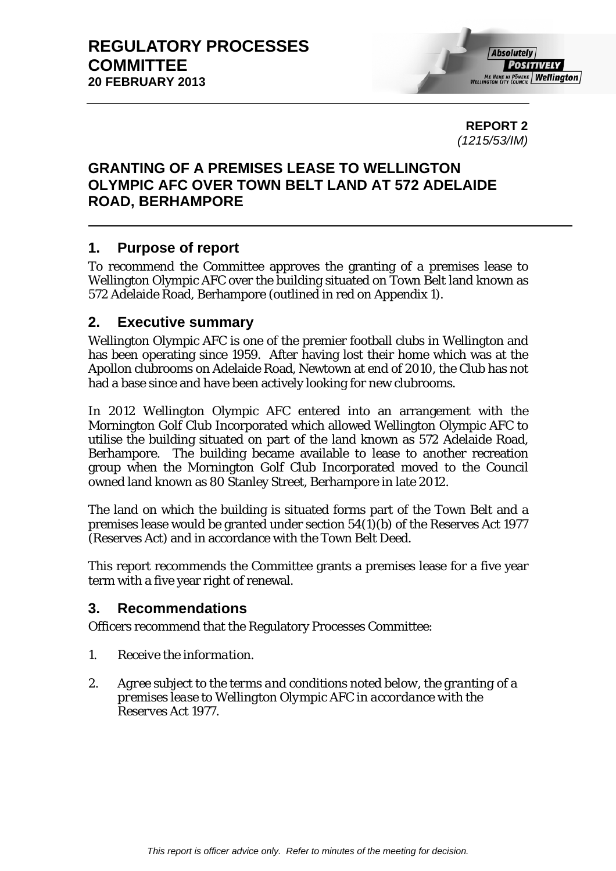**REPORT 2**  *(1215/53/IM)* 

# **GRANTING OF A PREMISES LEASE TO WELLINGTON OLYMPIC AFC OVER TOWN BELT LAND AT 572 ADELAIDE ROAD, BERHAMPORE**

# **1. Purpose of report**

To recommend the Committee approves the granting of a premises lease to Wellington Olympic AFC over the building situated on Town Belt land known as 572 Adelaide Road, Berhampore (outlined in red on Appendix 1).

### **2. Executive summary**

Wellington Olympic AFC is one of the premier football clubs in Wellington and has been operating since 1959. After having lost their home which was at the Apollon clubrooms on Adelaide Road, Newtown at end of 2010, the Club has not had a base since and have been actively looking for new clubrooms.

In 2012 Wellington Olympic AFC entered into an arrangement with the Mornington Golf Club Incorporated which allowed Wellington Olympic AFC to utilise the building situated on part of the land known as 572 Adelaide Road, Berhampore. The building became available to lease to another recreation group when the Mornington Golf Club Incorporated moved to the Council owned land known as 80 Stanley Street, Berhampore in late 2012.

The land on which the building is situated forms part of the Town Belt and a premises lease would be granted under section 54(1)(b) of the Reserves Act 1977 (Reserves Act) and in accordance with the Town Belt Deed.

This report recommends the Committee grants a premises lease for a five year term with a five year right of renewal.

## **3. Recommendations**

Officers recommend that the Regulatory Processes Committee:

- *1. Receive the information.*
- *2. Agree subject to the terms and conditions noted below, the granting of a premises lease to Wellington Olympic AFC in accordance with the Reserves Act 1977.*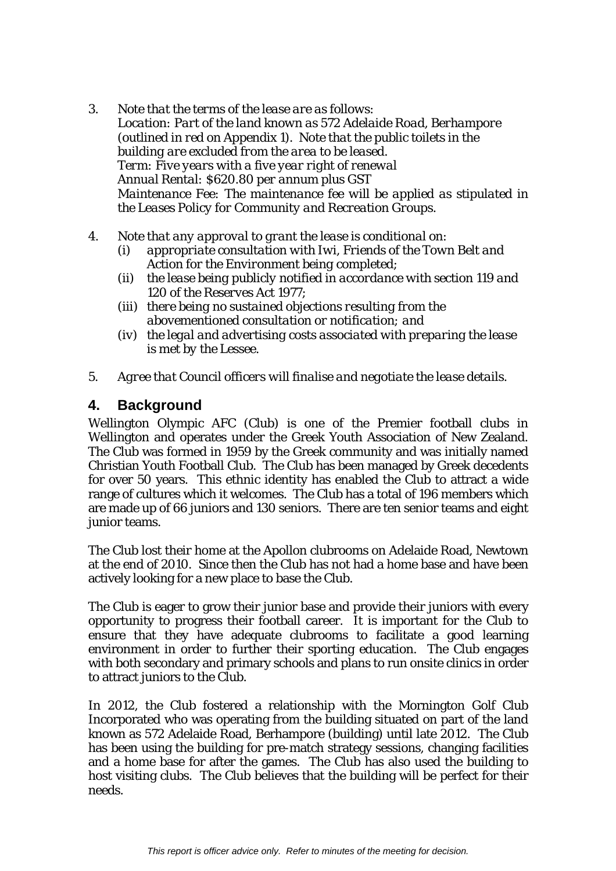- *3. Note that the terms of the lease are as follows: Location: Part of the land known as 572 Adelaide Road, Berhampore (outlined in red on Appendix 1). Note that the public toilets in the building are excluded from the area to be leased. Term: Five years with a five year right of renewal Annual Rental: \$620.80 per annum plus GST Maintenance Fee: The maintenance fee will be applied as stipulated in the Leases Policy for Community and Recreation Groups.*
- *4. Note that any approval to grant the lease is conditional on:* 
	- *(i) appropriate consultation with Iwi, Friends of the Town Belt and Action for the Environment being completed;*
	- *(ii) the lease being publicly notified in accordance with section 119 and 120 of the Reserves Act 1977;*
	- *(iii) there being no sustained objections resulting from the abovementioned consultation or notification; and*
	- *(iv) the legal and advertising costs associated with preparing the lease is met by the Lessee.*
- *5. Agree that Council officers will finalise and negotiate the lease details.*

## **4. Background**

Wellington Olympic AFC (Club) is one of the Premier football clubs in Wellington and operates under the Greek Youth Association of New Zealand. The Club was formed in 1959 by the Greek community and was initially named Christian Youth Football Club. The Club has been managed by Greek decedents for over 50 years. This ethnic identity has enabled the Club to attract a wide range of cultures which it welcomes. The Club has a total of 196 members which are made up of 66 juniors and 130 seniors. There are ten senior teams and eight junior teams.

The Club lost their home at the Apollon clubrooms on Adelaide Road, Newtown at the end of 2010. Since then the Club has not had a home base and have been actively looking for a new place to base the Club.

The Club is eager to grow their junior base and provide their juniors with every opportunity to progress their football career. It is important for the Club to ensure that they have adequate clubrooms to facilitate a good learning environment in order to further their sporting education. The Club engages with both secondary and primary schools and plans to run onsite clinics in order to attract juniors to the Club.

In 2012, the Club fostered a relationship with the Mornington Golf Club Incorporated who was operating from the building situated on part of the land known as 572 Adelaide Road, Berhampore (building) until late 2012. The Club has been using the building for pre-match strategy sessions, changing facilities and a home base for after the games. The Club has also used the building to host visiting clubs. The Club believes that the building will be perfect for their needs.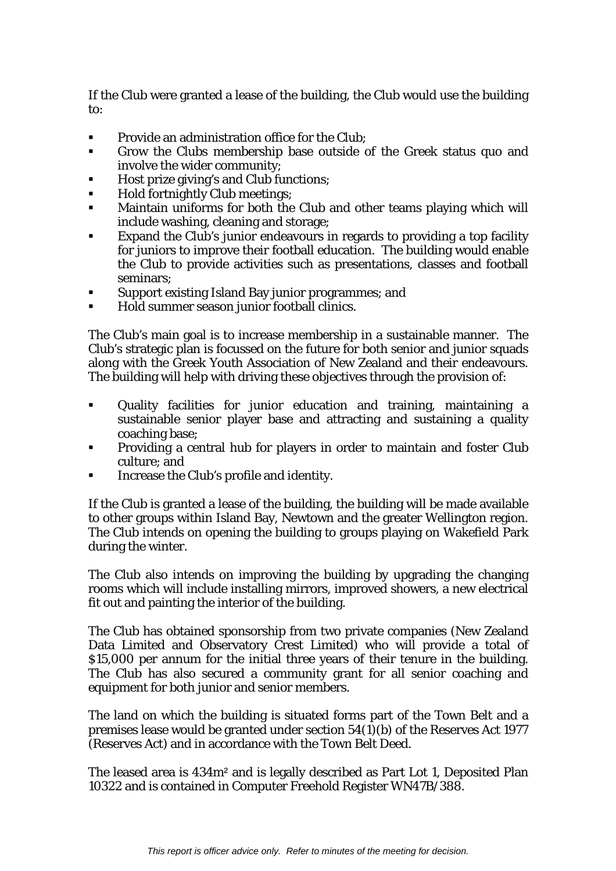If the Club were granted a lease of the building, the Club would use the building to:

- **Provide an administration office for the Club;**
- Grow the Clubs membership base outside of the Greek status quo and involve the wider community;
- Host prize giving's and Club functions;
- Hold fortnightly Club meetings:
- Maintain uniforms for both the Club and other teams playing which will include washing, cleaning and storage;
- Expand the Club's junior endeavours in regards to providing a top facility for juniors to improve their football education. The building would enable the Club to provide activities such as presentations, classes and football seminars;
- Support existing Island Bay junior programmes; and
- Hold summer season junior football clinics.

The Club's main goal is to increase membership in a sustainable manner. The Club's strategic plan is focussed on the future for both senior and junior squads along with the Greek Youth Association of New Zealand and their endeavours. The building will help with driving these objectives through the provision of:

- Quality facilities for junior education and training, maintaining a sustainable senior player base and attracting and sustaining a quality coaching base;
- Providing a central hub for players in order to maintain and foster Club culture; and
- Increase the Club's profile and identity.

If the Club is granted a lease of the building, the building will be made available to other groups within Island Bay, Newtown and the greater Wellington region. The Club intends on opening the building to groups playing on Wakefield Park during the winter.

The Club also intends on improving the building by upgrading the changing rooms which will include installing mirrors, improved showers, a new electrical fit out and painting the interior of the building.

The Club has obtained sponsorship from two private companies (New Zealand Data Limited and Observatory Crest Limited) who will provide a total of \$15,000 per annum for the initial three years of their tenure in the building. The Club has also secured a community grant for all senior coaching and equipment for both junior and senior members.

The land on which the building is situated forms part of the Town Belt and a premises lease would be granted under section 54(1)(b) of the Reserves Act 1977 (Reserves Act) and in accordance with the Town Belt Deed.

The leased area is 434m² and is legally described as Part Lot 1, Deposited Plan 10322 and is contained in Computer Freehold Register WN47B/388.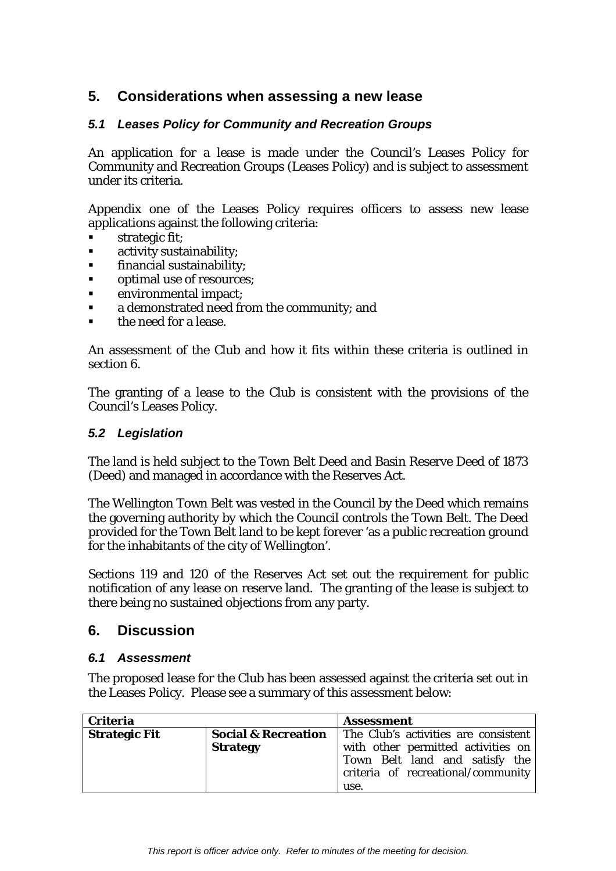# **5. Considerations when assessing a new lease**

### *5.1 Leases Policy for Community and Recreation Groups*

An application for a lease is made under the Council's Leases Policy for Community and Recreation Groups (Leases Policy) and is subject to assessment under its criteria.

Appendix one of the Leases Policy requires officers to assess new lease applications against the following criteria:

- strategic fit;
- **EXECUTE: The activity sustainability;**
- **financial sustainability;**
- optimal use of resources;
- environmental impact;
- **a** demonstrated need from the community; and
- the need for a lease.

An assessment of the Club and how it fits within these criteria is outlined in section 6.

The granting of a lease to the Club is consistent with the provisions of the Council's Leases Policy.

### *5.2 Legislation*

The land is held subject to the Town Belt Deed and Basin Reserve Deed of 1873 (Deed) and managed in accordance with the Reserves Act.

The Wellington Town Belt was vested in the Council by the Deed which remains the governing authority by which the Council controls the Town Belt. The Deed provided for the Town Belt land to be kept forever 'as a public recreation ground for the inhabitants of the city of Wellington'.

Sections 119 and 120 of the Reserves Act set out the requirement for public notification of any lease on reserve land. The granting of the lease is subject to there being no sustained objections from any party.

### **6. Discussion**

### *6.1 Assessment*

The proposed lease for the Club has been assessed against the criteria set out in the Leases Policy. Please see a summary of this assessment below:

| <b>Criteria</b>      |                                | <b>Assessment</b>                    |
|----------------------|--------------------------------|--------------------------------------|
| <b>Strategic Fit</b> | <b>Social &amp; Recreation</b> | The Club's activities are consistent |
|                      | <b>Strategy</b>                | with other permitted activities on   |
|                      |                                | Town Belt land and satisfy the       |
|                      |                                | criteria of recreational/community   |
|                      |                                | use.                                 |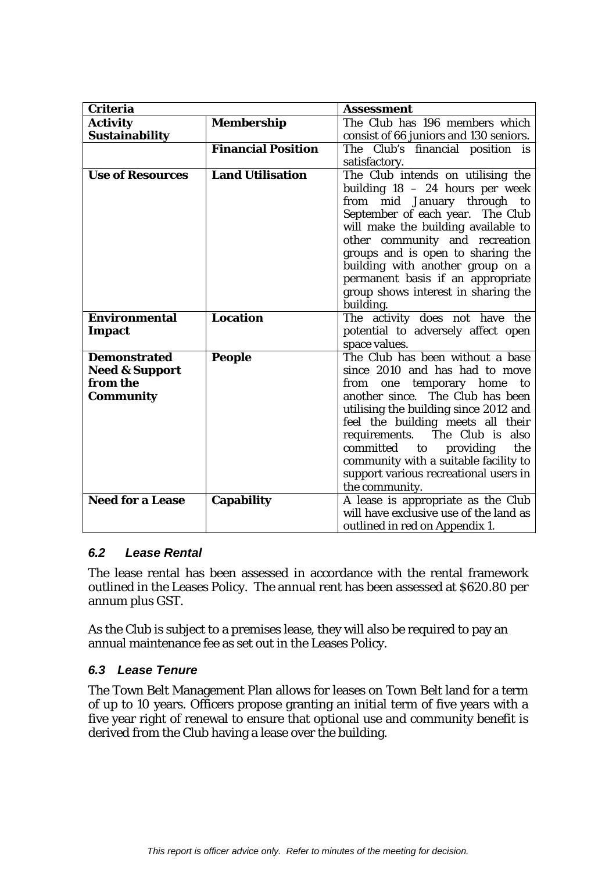| <b>Criteria</b>                                                                  |                           | <b>Assessment</b>                                                                                                                                                                                                                                                                                                                                                                                           |
|----------------------------------------------------------------------------------|---------------------------|-------------------------------------------------------------------------------------------------------------------------------------------------------------------------------------------------------------------------------------------------------------------------------------------------------------------------------------------------------------------------------------------------------------|
| <b>Activity</b>                                                                  | <b>Membership</b>         | The Club has 196 members which                                                                                                                                                                                                                                                                                                                                                                              |
| <b>Sustainability</b>                                                            |                           | consist of 66 juniors and 130 seniors.                                                                                                                                                                                                                                                                                                                                                                      |
|                                                                                  | <b>Financial Position</b> | The Club's financial position is                                                                                                                                                                                                                                                                                                                                                                            |
|                                                                                  |                           | satisfactory.                                                                                                                                                                                                                                                                                                                                                                                               |
| <b>Use of Resources</b>                                                          | <b>Land Utilisation</b>   | The Club intends on utilising the<br>building 18 - 24 hours per week<br>from mid January through to<br>September of each year. The Club<br>will make the building available to<br>other community and recreation<br>groups and is open to sharing the<br>building with another group on a<br>permanent basis if an appropriate<br>group shows interest in sharing the                                       |
|                                                                                  |                           | building.                                                                                                                                                                                                                                                                                                                                                                                                   |
| <b>Environmental</b><br><b>Impact</b>                                            | <b>Location</b>           | The activity does not have the<br>potential to adversely affect open<br>space values.                                                                                                                                                                                                                                                                                                                       |
| <b>Demonstrated</b><br><b>Need &amp; Support</b><br>from the<br><b>Community</b> | <b>People</b>             | The Club has been without a base<br>since 2010 and has had to move<br>from<br>temporary home<br>to<br>one<br>another since. The Club has been<br>utilising the building since 2012 and<br>feel the building meets all their<br>requirements. The Club is<br>also<br>committed<br>the<br>providing<br>to<br>community with a suitable facility to<br>support various recreational users in<br>the community. |
| <b>Need for a Lease</b>                                                          | <b>Capability</b>         | A lease is appropriate as the Club<br>will have exclusive use of the land as<br>outlined in red on Appendix 1.                                                                                                                                                                                                                                                                                              |

### *6.2 Lease Rental*

The lease rental has been assessed in accordance with the rental framework outlined in the Leases Policy. The annual rent has been assessed at \$620.80 per annum plus GST.

As the Club is subject to a premises lease, they will also be required to pay an annual maintenance fee as set out in the Leases Policy.

### *6.3 Lease Tenure*

The Town Belt Management Plan allows for leases on Town Belt land for a term of up to 10 years. Officers propose granting an initial term of five years with a five year right of renewal to ensure that optional use and community benefit is derived from the Club having a lease over the building.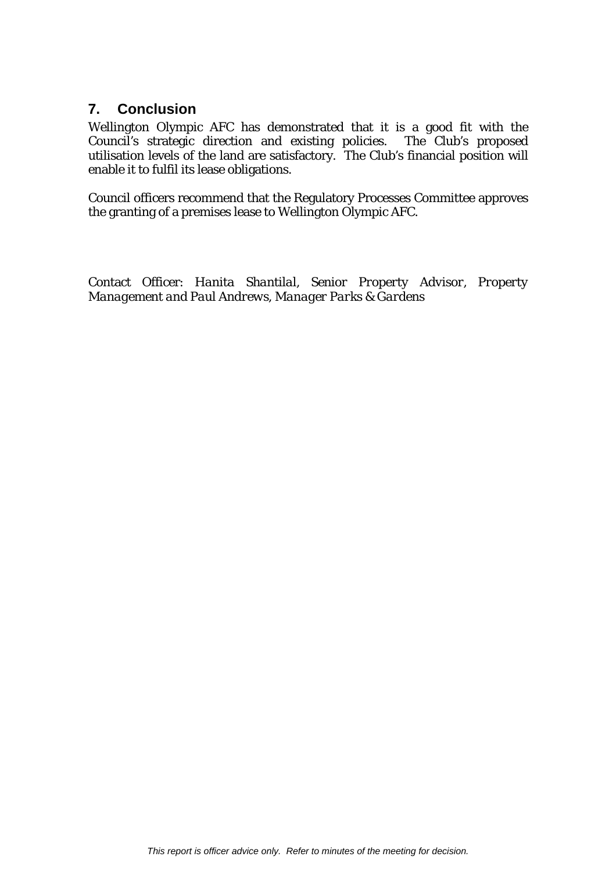## **7. Conclusion**

Wellington Olympic AFC has demonstrated that it is a good fit with the Council's strategic direction and existing policies. The Club's proposed utilisation levels of the land are satisfactory. The Club's financial position will enable it to fulfil its lease obligations.

Council officers recommend that the Regulatory Processes Committee approves the granting of a premises lease to Wellington Olympic AFC.

Contact Officer: *Hanita Shantilal, Senior Property Advisor, Property Management and Paul Andrews, Manager Parks & Gardens*